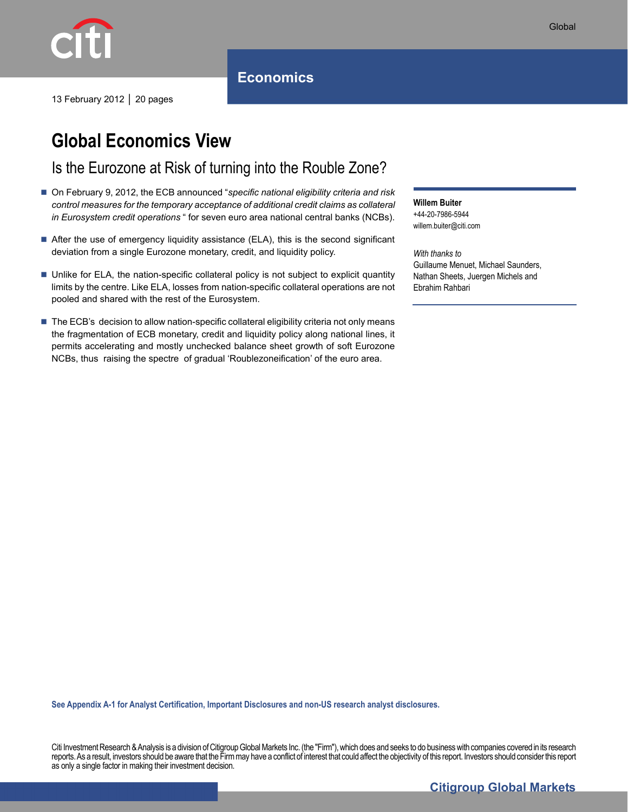

# **Global Economics View**

Is the Eurozone at Risk of turning into the Rouble Zone?

- On February 9, 2012, the ECB announced "specific national eligibility criteria and risk *control measures for the temporary acceptance of additional credit claims as collateral in Eurosystem credit operations* " for seven euro area national central banks (NCBs).
- After the use of emergency liquidity assistance (ELA), this is the second significant deviation from a single Eurozone monetary, credit, and liquidity policy.
- Unlike for ELA, the nation-specific collateral policy is not subject to explicit quantity limits by the centre. Like ELA, losses from nation-specific collateral operations are not pooled and shared with the rest of the Eurosystem.
- The ECB's decision to allow nation-specific collateral eligibility criteria not only means the fragmentation of ECB monetary, credit and liquidity policy along national lines, it permits accelerating and mostly unchecked balance sheet growth of soft Eurozone NCBs, thus raising the spectre of gradual 'Roublezoneification' of the euro area.

**Willem Buiter**  +44-20-7986-5944 willem.buiter@citi.com

*With thanks to*  Guillaume Menuet, Michael Saunders, Nathan Sheets, Juergen Michels and Ebrahim Rahbari

**See Appendix A-1 for Analyst Certification, Important Disclosures and non-US research analyst disclosures.** 

Citi Investment Research & Analysis is a division of Citigroup Global Markets Inc. (the "Firm"), which does and seeks to do business with companies covered in its research reports. As a result, investors should be aware that the Firm may have a conflict of interest that could affect the objectivity of this report. Investors should consider this report as only a single factor in making their investment decision.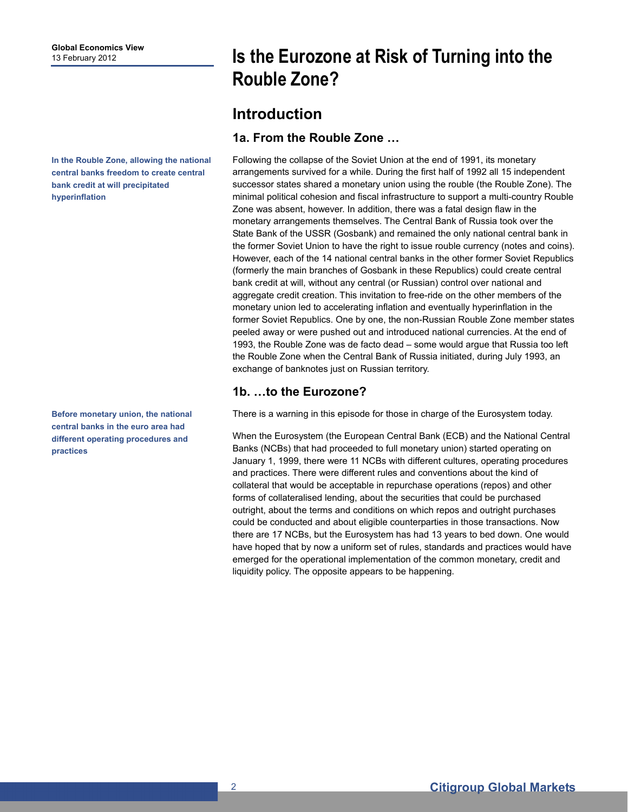**In the Rouble Zone, allowing the national central banks freedom to create central bank credit at will precipitated hyperinflation** 

**Before monetary union, the national central banks in the euro area had different operating procedures and practices** 

# **Is the Eurozone at Risk of Turning into the Rouble Zone?**

## **Introduction**

### **1a. From the Rouble Zone …**

Following the collapse of the Soviet Union at the end of 1991, its monetary arrangements survived for a while. During the first half of 1992 all 15 independent successor states shared a monetary union using the rouble (the Rouble Zone). The minimal political cohesion and fiscal infrastructure to support a multi-country Rouble Zone was absent, however. In addition, there was a fatal design flaw in the monetary arrangements themselves. The Central Bank of Russia took over the State Bank of the USSR (Gosbank) and remained the only national central bank in the former Soviet Union to have the right to issue rouble currency (notes and coins). However, each of the 14 national central banks in the other former Soviet Republics (formerly the main branches of Gosbank in these Republics) could create central bank credit at will, without any central (or Russian) control over national and aggregate credit creation. This invitation to free-ride on the other members of the monetary union led to accelerating inflation and eventually hyperinflation in the former Soviet Republics. One by one, the non-Russian Rouble Zone member states peeled away or were pushed out and introduced national currencies. At the end of 1993, the Rouble Zone was de facto dead – some would argue that Russia too left the Rouble Zone when the Central Bank of Russia initiated, during July 1993, an exchange of banknotes just on Russian territory.

### **1b. …to the Eurozone?**

There is a warning in this episode for those in charge of the Eurosystem today.

When the Eurosystem (the European Central Bank (ECB) and the National Central Banks (NCBs) that had proceeded to full monetary union) started operating on January 1, 1999, there were 11 NCBs with different cultures, operating procedures and practices. There were different rules and conventions about the kind of collateral that would be acceptable in repurchase operations (repos) and other forms of collateralised lending, about the securities that could be purchased outright, about the terms and conditions on which repos and outright purchases could be conducted and about eligible counterparties in those transactions. Now there are 17 NCBs, but the Eurosystem has had 13 years to bed down. One would have hoped that by now a uniform set of rules, standards and practices would have emerged for the operational implementation of the common monetary, credit and liquidity policy. The opposite appears to be happening.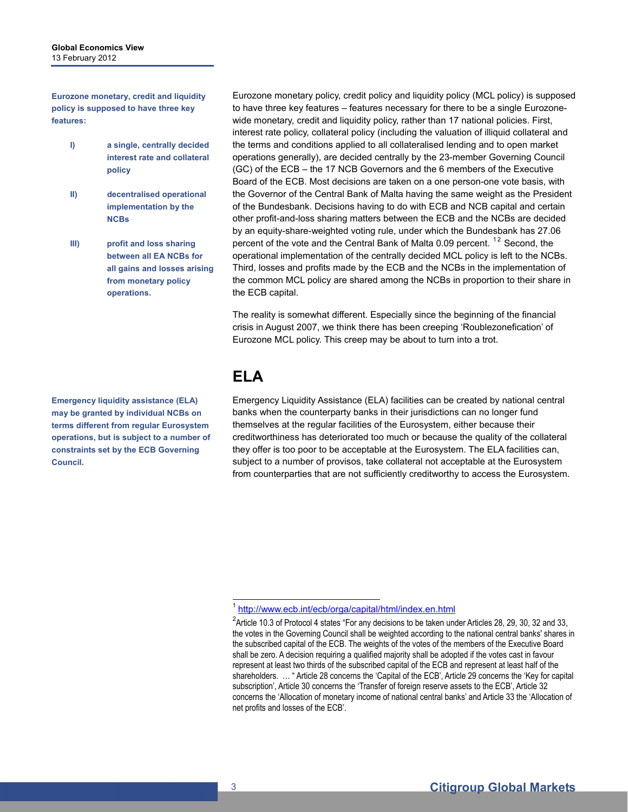**Eurozone monetary, credit and liquidity policy is supposed to have three key features:** 

- **I) a single, centrally decided interest rate and collateral policy**
- **II) decentralised operational implementation by the NCBs**
- **III) profit and loss sharing between all EA NCBs for all gains and losses arising from monetary policy operations.**

<span id="page-2-0"></span>**Emergency liquidity assistance (ELA) may be granted by individual NCBs on terms different from regular Eurosystem operations, but is subject to a number of constraints set by the ECB Governing Council.** 

Eurozone monetary policy, credit policy and liquidity policy (MCL policy) is supposed to have three key features – features necessary for there to be a single Eurozonewide monetary, credit and liquidity policy, rather than 17 national policies. First, interest rate policy, collateral policy (including the valuation of illiquid collateral and the terms and conditions applied to all collateralised lending and to open market operations generally), are decided centrally by the 23-member Governing Council (GC) of the ECB – the 17 NCB Governors and the 6 members of the Executive Board of the ECB. Most decisions are taken on a one person-one vote basis, with the Governor of the Central Bank of Malta having the same weight as the President of the Bundesbank. Decisions having to do with ECB and NCB capital and certain other profit-and-loss sharing matters between the ECB and the NCBs are decided by an equity-share-weighted voting rule, under which the Bundesbank has 27.06 percent of the vote and the Central Bank of Malta 0.09 percent. <sup>12</sup> Second, the operational implementation of the centrally decided MCL policy is left to the NCBs. Third, losses and profits made by the ECB and the NCBs in the implementation of the common MCL policy are shared among the NCBs in proportion to their share in the ECB capital.

The reality is somewhat different. Especially since the beginning of the financial crisis in August 2007, we think there has been creeping 'Roublezonefication' of Eurozone MCL policy. This creep may be about to turn into a trot.

## **ELA**

Emergency Liquidity Assistance (ELA) facilities can be created by national central banks when the counterparty banks in their jurisdictions can no longer fund themselves at the regular facilities of the Eurosystem, either because their creditworthiness has deteriorated too much or because the quality of the collateral they offer is too poor to be acceptable at the Eurosystem. The ELA facilities can, subject to a number of provisos, take collateral not acceptable at the Eurosystem from counterparties that are not sufficiently creditworthy to access the Eurosystem.

<sup>&</sup>lt;sup>1</sup> <http://www.ecb.int/ecb/orga/capital/html/index.en.html>

<sup>&</sup>lt;sup>2</sup> Article 10.3 of Protocol 4 states "For any decisions to be taken under Articles 28, 29, 30, 32 and 33, the votes in the Governing Council shall be weighted according to the national central banks' shares in the subscribed capital of the ECB. The weights of the votes of the members of the Executive Board shall be zero. A decision requiring a qualified majority shall be adopted if the votes cast in favour represent at least two thirds of the subscribed capital of the ECB and represent at least half of the shareholders. … " Article 28 concerns the 'Capital of the ECB', Article 29 concerns the 'Key for capital subscription', Article 30 concerns the 'Transfer of foreign reserve assets to the ECB', Article 32 concerns the 'Allocation of monetary income of national central banks' and Article 33 the 'Allocation of net profits and losses of the ECB'.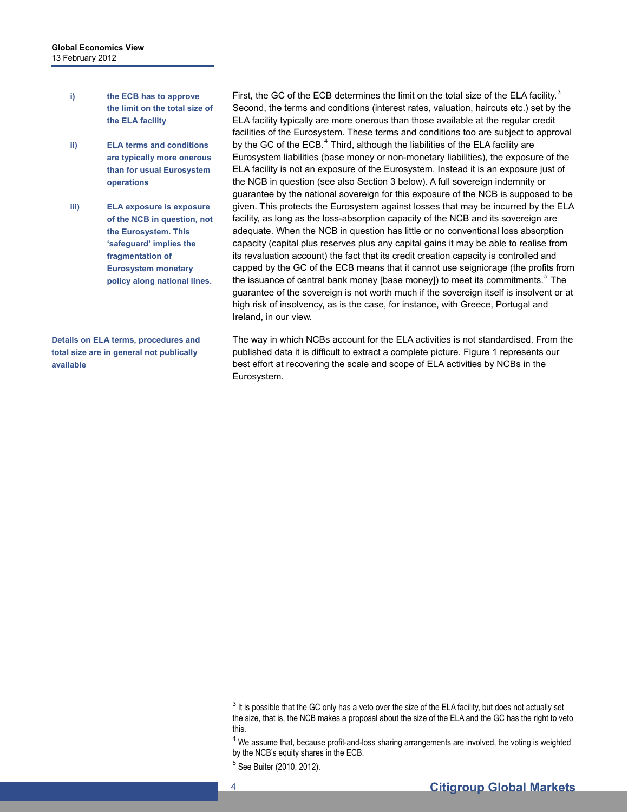- **i) the ECB has to approve the limit on the total size of the ELA facility**
- **ii) ELA terms and conditions are typically more onerous than for usual Eurosystem operations**
- **iii) ELA exposure is exposure of the NCB in question, not the Eurosystem. This 'safeguard' implies the fragmentation of Eurosystem monetary policy along national lines.**

**Details on ELA terms, procedures and total size are in general not publically available** 

First, the GC of the ECB determines the limit on the total size of the ELA facility. $3$ Second, the terms and conditions (interest rates, valuation, haircuts etc.) set by the ELA facility typically are more onerous than those available at the regular credit facilities of the Eurosystem. These terms and conditions too are subject to approval by the GC of the ECB. $^4$  $^4$  Third, although the liabilities of the ELA facility are Eurosystem liabilities (base money or non-monetary liabilities), the exposure of the ELA facility is not an exposure of the Eurosystem. Instead it is an exposure just of the NCB in question (see also Section 3 below). A full sovereign indemnity or guarantee by the national sovereign for this exposure of the NCB is supposed to be given. This protects the Eurosystem against losses that may be incurred by the ELA facility, as long as the loss-absorption capacity of the NCB and its sovereign are adequate. When the NCB in question has little or no conventional loss absorption capacity (capital plus reserves plus any capital gains it may be able to realise from its revaluation account) the fact that its credit creation capacity is controlled and capped by the GC of the ECB means that it cannot use seigniorage (the profits from the issuance of central bank money [base money]) to meet its commitments.<sup>[5](#page-3-2)</sup> The guarantee of the sovereign is not worth much if the sovereign itself is insolvent or at high risk of insolvency, as is the case, for instance, with Greece, Portugal and Ireland, in our view.

The way in which NCBs account for the ELA activities is not standardised. From the published data it is difficult to extract a complete picture. Figure 1 represents our best effort at recovering the scale and scope of ELA activities by NCBs in the Eurosystem.

<span id="page-3-0"></span>The solution of the GC only has a veto over the size of the ELA facility, but does not actually set the size, that is, the NCB makes a proposal about the size of the ELA and the GC has the right to veto this.

 $4$  We assume that, because profit-and-loss sharing arrangements are involved, the voting is weighted by the NCB's equity shares in the ECB.

<span id="page-3-2"></span><span id="page-3-1"></span><sup>5</sup> See Buiter (2010, 2012).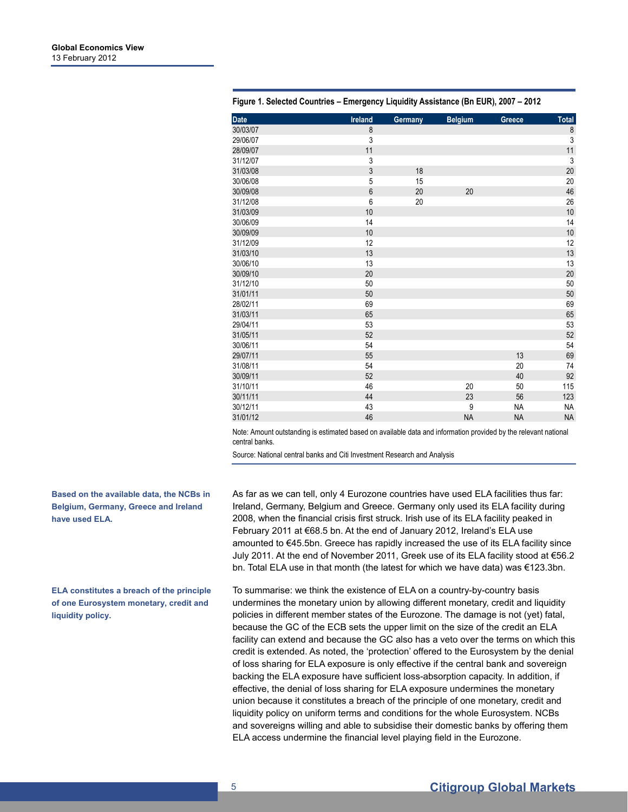| Date     | Ireland        | Germany | <b>Belgium</b> | Greece    | Total     |
|----------|----------------|---------|----------------|-----------|-----------|
| 30/03/07 | 8              |         |                |           | 8         |
| 29/06/07 | 3              |         |                |           | 3         |
| 28/09/07 | 11             |         |                |           | 11        |
| 31/12/07 | 3              |         |                |           | 3         |
| 31/03/08 | 3              | 18      |                |           | 20        |
| 30/06/08 | 5              | 15      |                |           | 20        |
| 30/09/08 | $6\phantom{a}$ | 20      | 20             |           | 46        |
| 31/12/08 | 6              | 20      |                |           | 26        |
| 31/03/09 | 10             |         |                |           | $10$      |
| 30/06/09 | 14             |         |                |           | 14        |
| 30/09/09 | 10             |         |                |           | 10        |
| 31/12/09 | 12             |         |                |           | 12        |
| 31/03/10 | 13             |         |                |           | 13        |
| 30/06/10 | 13             |         |                |           | 13        |
| 30/09/10 | 20             |         |                |           | 20        |
| 31/12/10 | 50             |         |                |           | 50        |
| 31/01/11 | 50             |         |                |           | 50        |
| 28/02/11 | 69             |         |                |           | 69        |
| 31/03/11 | 65             |         |                |           | 65        |
| 29/04/11 | 53             |         |                |           | 53        |
| 31/05/11 | 52             |         |                |           | 52        |
| 30/06/11 | 54             |         |                |           | 54        |
| 29/07/11 | 55             |         |                | 13        | 69        |
| 31/08/11 | 54             |         |                | 20        | 74        |
| 30/09/11 | 52             |         |                | 40        | 92        |
| 31/10/11 | 46             |         | 20             | 50        | 115       |
| 30/11/11 | 44             |         | 23             | 56        | 123       |
| 30/12/11 | 43             |         | 9              | <b>NA</b> | <b>NA</b> |
| 31/01/12 | 46             |         | <b>NA</b>      | <b>NA</b> | <b>NA</b> |

**Figure 1. Selected Countries – Emergency Liquidity Assistance (Bn EUR), 2007 – 2012** 

Note: Amount outstanding is estimated based on available data and information provided by the relevant national central banks.

Source: National central banks and Citi Investment Research and Analysis

As far as we can tell, only 4 Eurozone countries have used ELA facilities thus far: Ireland, Germany, Belgium and Greece. Germany only used its ELA facility during 2008, when the financial crisis first struck. Irish use of its ELA facility peaked in February 2011 at €68.5 bn. At the end of January 2012, Ireland's ELA use amounted to €45.5bn. Greece has rapidly increased the use of its ELA facility since July 2011. At the end of November 2011, Greek use of its ELA facility stood at €56.2 bn. Total ELA use in that month (the latest for which we have data) was €123.3bn.

To summarise: we think the existence of ELA on a country-by-country basis undermines the monetary union by allowing different monetary, credit and liquidity policies in different member states of the Eurozone. The damage is not (yet) fatal, because the GC of the ECB sets the upper limit on the size of the credit an ELA facility can extend and because the GC also has a veto over the terms on which this credit is extended. As noted, the 'protection' offered to the Eurosystem by the denial of loss sharing for ELA exposure is only effective if the central bank and sovereign backing the ELA exposure have sufficient loss-absorption capacity. In addition, if effective, the denial of loss sharing for ELA exposure undermines the monetary union because it constitutes a breach of the principle of one monetary, credit and liquidity policy on uniform terms and conditions for the whole Eurosystem. NCBs and sovereigns willing and able to subsidise their domestic banks by offering them ELA access undermine the financial level playing field in the Eurozone.

#### **Based on the available data, the NCBs in Belgium, Germany, Greece and Ireland have used ELA.**

**ELA constitutes a breach of the principle of one Eurosystem monetary, credit and liquidity policy.**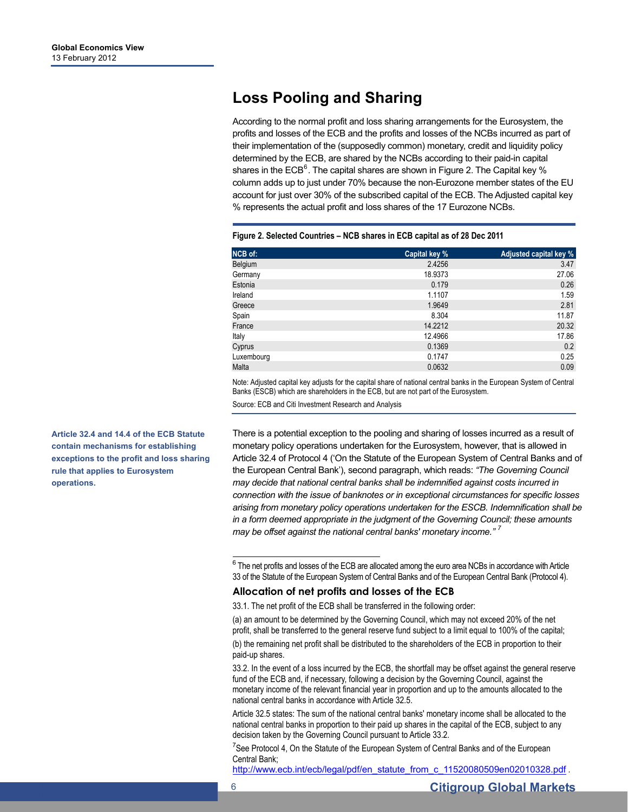## **Loss Pooling and Sharing**

According to the normal profit and loss sharing arrangements for the Eurosystem, the profits and losses of the ECB and the profits and losses of the NCBs incurred as part of their implementation of the (supposedly common) monetary, credit and liquidity policy determined by the ECB, are shared by the NCBs according to their paid-in capital shares in the ECB<sup>[6](#page-5-0)</sup>. The capital shares are shown in Figure 2. The Capital key % column adds up to just under 70% because the non-Eurozone member states of the EU account for just over 30% of the subscribed capital of the ECB. The Adjusted capital key % represents the actual profit and loss shares of the 17 Eurozone NCBs.

| <b>NCB</b> of: | Capital key % | Adjusted capital key % |
|----------------|---------------|------------------------|
| Belgium        | 2.4256        | 3.47                   |
| Germany        | 18.9373       | 27.06                  |
| Estonia        | 0.179         | 0.26                   |
| Ireland        | 1.1107        | 1.59                   |
| Greece         | 1.9649        | 2.81                   |
| Spain          | 8.304         | 11.87                  |
| France         | 14.2212       | 20.32                  |
| Italy          | 12.4966       | 17.86                  |
| Cyprus         | 0.1369        | 0.2                    |
| Luxembourg     | 0.1747        | 0.25                   |
| Malta          | 0.0632        | 0.09                   |

#### **Figure 2. Selected Countries – NCB shares in ECB capital as of 28 Dec 2011**

Note: Adjusted capital key adjusts for the capital share of national central banks in the European System of Central Banks (ESCB) which are shareholders in the ECB, but are not part of the Eurosystem.

Source: ECB and Citi Investment Research and Analysis

<span id="page-5-0"></span>**Article 32.4 and 14.4 of the ECB Statute contain mechanisms for establishing exceptions to the profit and loss sharing rule that applies to Eurosystem operations.** 

There is a potential exception to the pooling and sharing of losses incurred as a result of monetary policy operations undertaken for the Eurosystem, however, that is allowed in Article 32.4 of Protocol 4 ('On the Statute of the European System of Central Banks and of the European Central Bank'), second paragraph, which reads: *"The Governing Council may decide that national central banks shall be indemnified against costs incurred in connection with the issue of banknotes or in exceptional circumstances for specific losses arising from monetary policy operations undertaken for the ESCB. Indemnification shall be in a form deemed appropriate in the judgment of the Governing Council; these amounts may be offset against the national central banks' monetary income." [7](#page-5-1)*

 6 The net profits and losses of the ECB are allocated among the euro area NCBs in accordance with Article 33 of the Statute of the European System of Central Banks and of the European Central Bank (Protocol 4).

#### **Allocation of net profits and losses of the ECB**

33.1. The net profit of the ECB shall be transferred in the following order:

(a) an amount to be determined by the Governing Council, which may not exceed 20% of the net profit, shall be transferred to the general reserve fund subject to a limit equal to 100% of the capital;

(b) the remaining net profit shall be distributed to the shareholders of the ECB in proportion to their paid-up shares.

33.2. In the event of a loss incurred by the ECB, the shortfall may be offset against the general reserve fund of the ECB and, if necessary, following a decision by the Governing Council, against the monetary income of the relevant financial year in proportion and up to the amounts allocated to the national central banks in accordance with Article 32.5.

Article 32.5 states: The sum of the national central banks' monetary income shall be allocated to the national central banks in proportion to their paid up shares in the capital of the ECB, subject to any decision taken by the Governing Council pursuant to Article 33.2.

<span id="page-5-1"></span><sup>7</sup>See Protocol 4, On the Statute of the European System of Central Banks and of the European Central Bank;

[http://www.ecb.int/ecb/legal/pdf/en\\_statute\\_from\\_c\\_11520080509en02010328.pdf](http://www.ecb.int/ecb/legal/pdf/en_statute_from_c_11520080509en02010328.pdf) .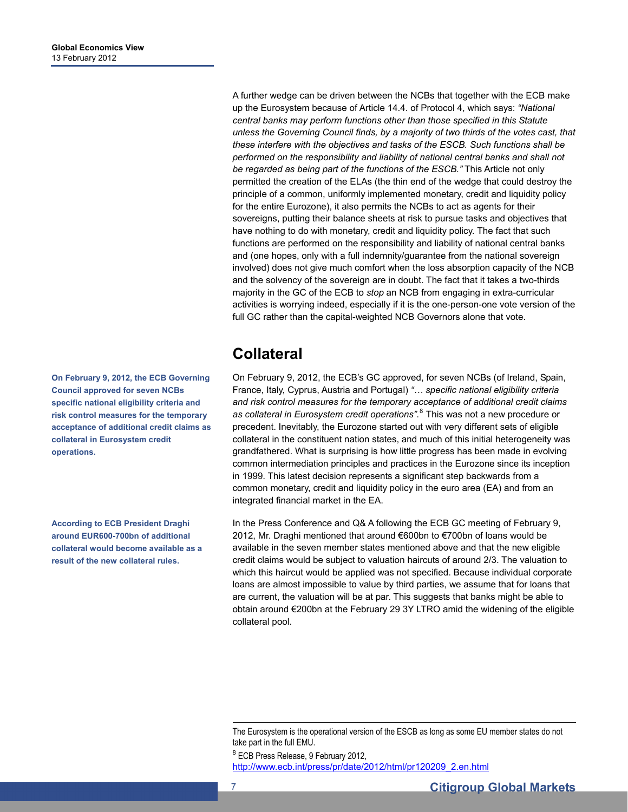A further wedge can be driven between the NCBs that together with the ECB make up the Eurosystem because of Article 14.4. of Protocol 4, which says: *"National central banks may perform functions other than those specified in this Statute unless the Governing Council finds, by a majority of two thirds of the votes cast, that these interfere with the objectives and tasks of the ESCB. Such functions shall be performed on the responsibility and liability of national central banks and shall not be regarded as being part of the functions of the ESCB."* This Article not only permitted the creation of the ELAs (the thin end of the wedge that could destroy the principle of a common, uniformly implemented monetary, credit and liquidity policy for the entire Eurozone), it also permits the NCBs to act as agents for their sovereigns, putting their balance sheets at risk to pursue tasks and objectives that have nothing to do with monetary, credit and liquidity policy. The fact that such functions are performed on the responsibility and liability of national central banks and (one hopes, only with a full indemnity/guarantee from the national sovereign involved) does not give much comfort when the loss absorption capacity of the NCB and the solvency of the sovereign are in doubt. The fact that it takes a two-thirds majority in the GC of the ECB to *stop* an NCB from engaging in extra-curricular activities is worrying indeed, especially if it is the one-person-one vote version of the full GC rather than the capital-weighted NCB Governors alone that vote.

### **Collateral**

On February 9, 2012, the ECB's GC approved, for seven NCBs (of Ireland, Spain, France, Italy, Cyprus, Austria and Portugal) *"… specific national eligibility criteria and risk control measures for the temporary acceptance of additional credit claims as collateral in Eurosystem credit operations"*. [8](#page-6-0) This was not a new procedure or precedent. Inevitably, the Eurozone started out with very different sets of eligible collateral in the constituent nation states, and much of this initial heterogeneity was grandfathered. What is surprising is how little progress has been made in evolving common intermediation principles and practices in the Eurozone since its inception in 1999. This latest decision represents a significant step backwards from a common monetary, credit and liquidity policy in the euro area (EA) and from an integrated financial market in the EA.

In the Press Conference and Q& A following the ECB GC meeting of February 9, 2012, Mr. Draghi mentioned that around €600bn to €700bn of loans would be available in the seven member states mentioned above and that the new eligible credit claims would be subject to valuation haircuts of around 2/3. The valuation to which this haircut would be applied was not specified. Because individual corporate loans are almost impossible to value by third parties, we assume that for loans that are current, the valuation will be at par. This suggests that banks might be able to obtain around €200bn at the February 29 3Y LTRO amid the widening of the eligible collateral pool.

<span id="page-6-0"></span><sup>8</sup> ECB Press Release, 9 February 2012, [http://www.ecb.int/press/pr/date/2012/html/pr120209\\_2.en.html](http://www.ecb.int/press/pr/date/2012/html/pr120209_2.en.html)

**On February 9, 2012, the ECB Governing Council approved for seven NCBs specific national eligibility criteria and risk control measures for the temporary acceptance of additional credit claims as collateral in Eurosystem credit operations.** 

**According to ECB President Draghi around EUR600-700bn of additional collateral would become available as a result of the new collateral rules.** 

The Eurosystem is the operational version of the ESCB as long as some EU member states do not take part in the full EMU.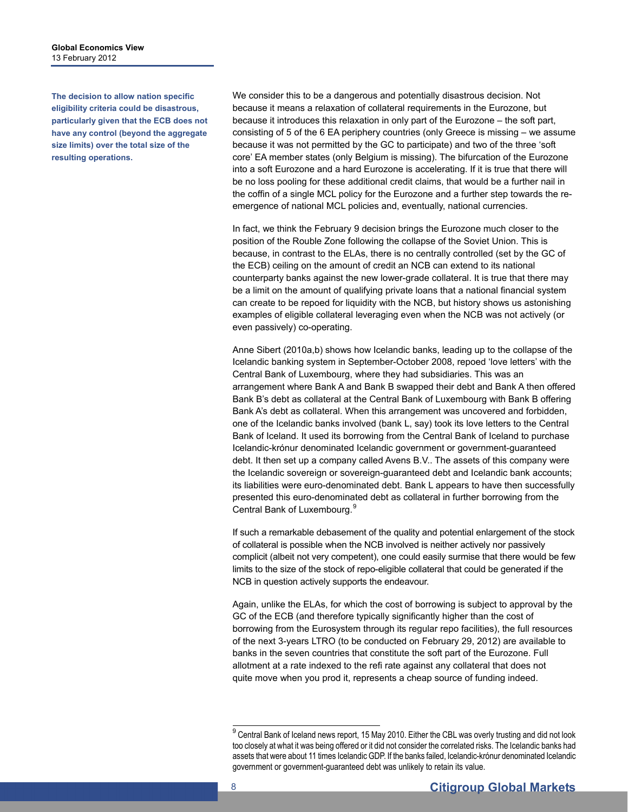**Global Economics View**  13 February 2012

**The decision to allow nation specific eligibility criteria could be disastrous, particularly given that the ECB does not have any control (beyond the aggregate size limits) over the total size of the resulting operations.** 

We consider this to be a dangerous and potentially disastrous decision. Not because it means a relaxation of collateral requirements in the Eurozone, but because it introduces this relaxation in only part of the Eurozone – the soft part, consisting of 5 of the 6 EA periphery countries (only Greece is missing – we assume because it was not permitted by the GC to participate) and two of the three 'soft core' EA member states (only Belgium is missing). The bifurcation of the Eurozone into a soft Eurozone and a hard Eurozone is accelerating. If it is true that there will be no loss pooling for these additional credit claims, that would be a further nail in the coffin of a single MCL policy for the Eurozone and a further step towards the reemergence of national MCL policies and, eventually, national currencies.

In fact, we think the February 9 decision brings the Eurozone much closer to the position of the Rouble Zone following the collapse of the Soviet Union. This is because, in contrast to the ELAs, there is no centrally controlled (set by the GC of the ECB) ceiling on the amount of credit an NCB can extend to its national counterparty banks against the new lower-grade collateral. It is true that there may be a limit on the amount of qualifying private loans that a national financial system can create to be repoed for liquidity with the NCB, but history shows us astonishing examples of eligible collateral leveraging even when the NCB was not actively (or even passively) co-operating.

Anne Sibert (2010a,b) shows how Icelandic banks, leading up to the collapse of the Icelandic banking system in September-October 2008, repoed 'love letters' with the Central Bank of Luxembourg, where they had subsidiaries. This was an arrangement where Bank A and Bank B swapped their debt and Bank A then offered Bank B's debt as collateral at the Central Bank of Luxembourg with Bank B offering Bank A's debt as collateral. When this arrangement was uncovered and forbidden, one of the Icelandic banks involved (bank L, say) took its love letters to the Central Bank of Iceland. It used its borrowing from the Central Bank of Iceland to purchase Icelandic-krónur denominated Icelandic government or government-guaranteed debt. It then set up a company called Avens B.V.. The assets of this company were the Icelandic sovereign or sovereign-guaranteed debt and Icelandic bank accounts; its liabilities were euro-denominated debt. Bank L appears to have then successfully presented this euro-denominated debt as collateral in further borrowing from the Central Bank of Luxembourg.<sup>[9](#page-7-0)</sup>

If such a remarkable debasement of the quality and potential enlargement of the stock of collateral is possible when the NCB involved is neither actively nor passively complicit (albeit not very competent), one could easily surmise that there would be few limits to the size of the stock of repo-eligible collateral that could be generated if the NCB in question actively supports the endeavour.

Again, unlike the ELAs, for which the cost of borrowing is subject to approval by the GC of the ECB (and therefore typically significantly higher than the cost of borrowing from the Eurosystem through its regular repo facilities), the full resources of the next 3-years LTRO (to be conducted on February 29, 2012) are available to banks in the seven countries that constitute the soft part of the Eurozone. Full allotment at a rate indexed to the refi rate against any collateral that does not quite move when you prod it, represents a cheap source of funding indeed.

<span id="page-7-0"></span> 9 Central Bank of Iceland news report, 15 May 2010. Either the CBL was overly trusting and did not look too closely at what it was being offered or it did not consider the correlated risks. The Icelandic banks had assets that were about 11 times Icelandic GDP. If the banks failed, Icelandic-krónur denominated Icelandic government or government-guaranteed debt was unlikely to retain its value.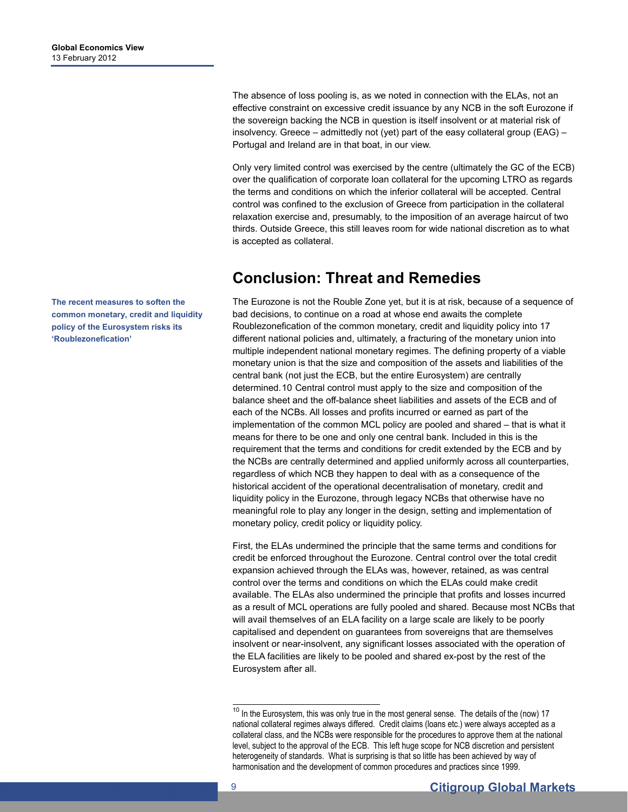The absence of loss pooling is, as we noted in connection with the ELAs, not an effective constraint on excessive credit issuance by any NCB in the soft Eurozone if the sovereign backing the NCB in question is itself insolvent or at material risk of insolvency. Greece – admittedly not (yet) part of the easy collateral group (EAG) – Portugal and Ireland are in that boat, in our view.

Only very limited control was exercised by the centre (ultimately the GC of the ECB) over the qualification of corporate loan collateral for the upcoming LTRO as regards the terms and conditions on which the inferior collateral will be accepted. Central control was confined to the exclusion of Greece from participation in the collateral relaxation exercise and, presumably, to the imposition of an average haircut of two thirds. Outside Greece, this still leaves room for wide national discretion as to what is accepted as collateral.

### **Conclusion: Threat and Remedies**

The Eurozone is not the Rouble Zone yet, but it is at risk, because of a sequence of bad decisions, to continue on a road at whose end awaits the complete Roublezonefication of the common monetary, credit and liquidity policy into 17 different national policies and, ultimately, a fracturing of the monetary union into multiple independent national monetary regimes. The defining property of a viable monetary union is that the size and composition of the assets and liabilities of the central bank (not just the ECB, but the entire Eurosystem) are centrally determined.[10](#page-8-0) Central control must apply to the size and composition of the balance sheet and the off-balance sheet liabilities and assets of the ECB and of each of the NCBs. All losses and profits incurred or earned as part of the implementation of the common MCL policy are pooled and shared – that is what it means for there to be one and only one central bank. Included in this is the requirement that the terms and conditions for credit extended by the ECB and by the NCBs are centrally determined and applied uniformly across all counterparties, regardless of which NCB they happen to deal with as a consequence of the historical accident of the operational decentralisation of monetary, credit and liquidity policy in the Eurozone, through legacy NCBs that otherwise have no meaningful role to play any longer in the design, setting and implementation of monetary policy, credit policy or liquidity policy.

First, the ELAs undermined the principle that the same terms and conditions for credit be enforced throughout the Eurozone. Central control over the total credit expansion achieved through the ELAs was, however, retained, as was central control over the terms and conditions on which the ELAs could make credit available. The ELAs also undermined the principle that profits and losses incurred as a result of MCL operations are fully pooled and shared. Because most NCBs that will avail themselves of an ELA facility on a large scale are likely to be poorly capitalised and dependent on guarantees from sovereigns that are themselves insolvent or near-insolvent, any significant losses associated with the operation of the ELA facilities are likely to be pooled and shared ex-post by the rest of the Eurosystem after all.

**The recent measures to soften the common monetary, credit and liquidity policy of the Eurosystem risks its 'Roublezonefication'** 

<span id="page-8-0"></span> $10$  In the Eurosystem, this was only true in the most general sense. The details of the (now) 17 national collateral regimes always differed. Credit claims (loans etc.) were always accepted as a collateral class, and the NCBs were responsible for the procedures to approve them at the national level, subject to the approval of the ECB. This left huge scope for NCB discretion and persistent heterogeneity of standards. What is surprising is that so little has been achieved by way of harmonisation and the development of common procedures and practices since 1999.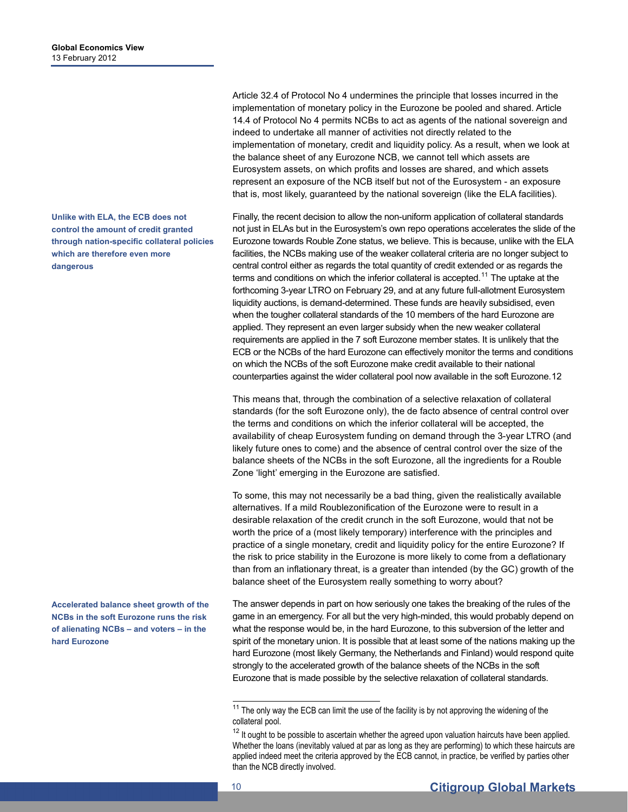**Unlike with ELA, the ECB does not control the amount of credit granted through nation-specific collateral policies which are therefore even more dangerous** 

<span id="page-9-1"></span><span id="page-9-0"></span>**Accelerated balance sheet growth of the NCBs in the soft Eurozone runs the risk of alienating NCBs – and voters – in the hard Eurozone** 

Article 32.4 of Protocol No 4 undermines the principle that losses incurred in the implementation of monetary policy in the Eurozone be pooled and shared. Article 14.4 of Protocol No 4 permits NCBs to act as agents of the national sovereign and indeed to undertake all manner of activities not directly related to the implementation of monetary, credit and liquidity policy. As a result, when we look at the balance sheet of any Eurozone NCB, we cannot tell which assets are Eurosystem assets, on which profits and losses are shared, and which assets represent an exposure of the NCB itself but not of the Eurosystem - an exposure that is, most likely, guaranteed by the national sovereign (like the ELA facilities).

Finally, the recent decision to allow the non-uniform application of collateral standards not just in ELAs but in the Eurosystem's own repo operations accelerates the slide of the Eurozone towards Rouble Zone status, we believe. This is because, unlike with the ELA facilities, the NCBs making use of the weaker collateral criteria are no longer subject to central control either as regards the total quantity of credit extended or as regards the terms and conditions on which the inferior collateral is accepted.<sup>[11](#page-9-0)</sup> The uptake at the forthcoming 3-year LTRO on February 29, and at any future full-allotment Eurosystem liquidity auctions, is demand-determined. These funds are heavily subsidised, even when the tougher collateral standards of the 10 members of the hard Eurozone are applied. They represent an even larger subsidy when the new weaker collateral requirements are applied in the 7 soft Eurozone member states. It is unlikely that the ECB or the NCBs of the hard Eurozone can effectively monitor the terms and conditions on which the NCBs of the soft Eurozone make credit available to their national counterparties against the wider collateral pool now available in the soft Eurozone.[12](#page-9-1) 

This means that, through the combination of a selective relaxation of collateral standards (for the soft Eurozone only), the de facto absence of central control over the terms and conditions on which the inferior collateral will be accepted, the availability of cheap Eurosystem funding on demand through the 3-year LTRO (and likely future ones to come) and the absence of central control over the size of the balance sheets of the NCBs in the soft Eurozone, all the ingredients for a Rouble Zone 'light' emerging in the Eurozone are satisfied.

To some, this may not necessarily be a bad thing, given the realistically available alternatives. If a mild Roublezonification of the Eurozone were to result in a desirable relaxation of the credit crunch in the soft Eurozone, would that not be worth the price of a (most likely temporary) interference with the principles and practice of a single monetary, credit and liquidity policy for the entire Eurozone? If the risk to price stability in the Eurozone is more likely to come from a deflationary than from an inflationary threat, is a greater than intended (by the GC) growth of the balance sheet of the Eurosystem really something to worry about?

The answer depends in part on how seriously one takes the breaking of the rules of the game in an emergency. For all but the very high-minded, this would probably depend on what the response would be, in the hard Eurozone, to this subversion of the letter and spirit of the monetary union. It is possible that at least some of the nations making up the hard Eurozone (most likely Germany, the Netherlands and Finland) would respond quite strongly to the accelerated growth of the balance sheets of the NCBs in the soft Eurozone that is made possible by the selective relaxation of collateral standards.

 $11$  The only way the ECB can limit the use of the facility is by not approving the widening of the collateral pool.

 $12$  It ought to be possible to ascertain whether the agreed upon valuation haircuts have been applied. Whether the loans (inevitably valued at par as long as they are performing) to which these haircuts are applied indeed meet the criteria approved by the ECB cannot, in practice, be verified by parties other than the NCB directly involved.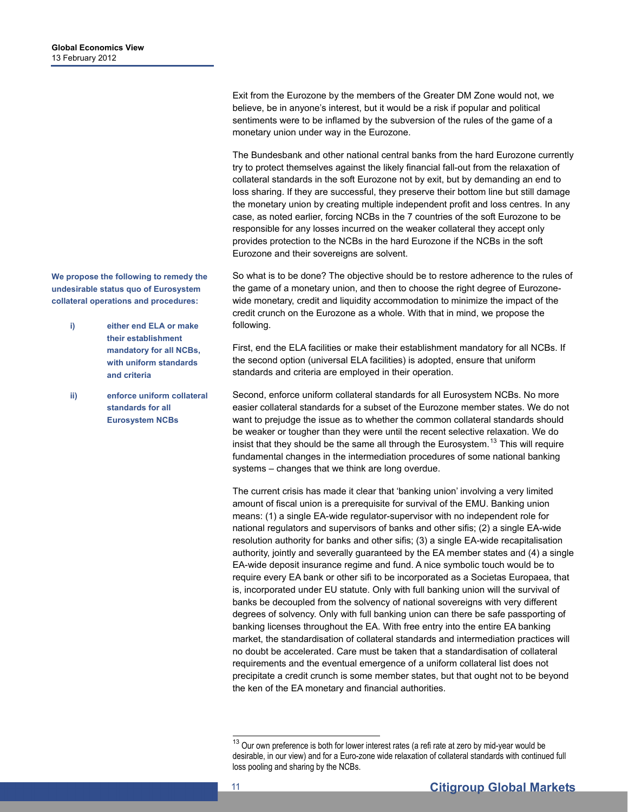**We propose the following to remedy the undesirable status quo of Eurosystem collateral operations and procedures:** 

- **i) either end ELA or make their establishment mandatory for all NCBs, with uniform standards and criteria**
- **ii) enforce uniform collateral standards for all Eurosystem NCBs**

Exit from the Eurozone by the members of the Greater DM Zone would not, we believe, be in anyone's interest, but it would be a risk if popular and political sentiments were to be inflamed by the subversion of the rules of the game of a monetary union under way in the Eurozone.

The Bundesbank and other national central banks from the hard Eurozone currently try to protect themselves against the likely financial fall-out from the relaxation of collateral standards in the soft Eurozone not by exit, but by demanding an end to loss sharing. If they are successful, they preserve their bottom line but still damage the monetary union by creating multiple independent profit and loss centres. In any case, as noted earlier, forcing NCBs in the 7 countries of the soft Eurozone to be responsible for any losses incurred on the weaker collateral they accept only provides protection to the NCBs in the hard Eurozone if the NCBs in the soft Eurozone and their sovereigns are solvent.

So what is to be done? The objective should be to restore adherence to the rules of the game of a monetary union, and then to choose the right degree of Eurozonewide monetary, credit and liquidity accommodation to minimize the impact of the credit crunch on the Eurozone as a whole. With that in mind, we propose the following.

First, end the ELA facilities or make their establishment mandatory for all NCBs. If the second option (universal ELA facilities) is adopted, ensure that uniform standards and criteria are employed in their operation.

Second, enforce uniform collateral standards for all Eurosystem NCBs. No more easier collateral standards for a subset of the Eurozone member states. We do not want to prejudge the issue as to whether the common collateral standards should be weaker or tougher than they were until the recent selective relaxation. We do insist that they should be the same all through the Eurosystem.<sup>[13](#page-10-0)</sup> This will require fundamental changes in the intermediation procedures of some national banking systems – changes that we think are long overdue.

The current crisis has made it clear that 'banking union' involving a very limited amount of fiscal union is a prerequisite for survival of the EMU. Banking union means: (1) a single EA-wide regulator-supervisor with no independent role for national regulators and supervisors of banks and other sifis; (2) a single EA-wide resolution authority for banks and other sifis; (3) a single EA-wide recapitalisation authority, jointly and severally guaranteed by the EA member states and (4) a single EA-wide deposit insurance regime and fund. A nice symbolic touch would be to require every EA bank or other sifi to be incorporated as a Societas Europaea, that is, incorporated under EU statute. Only with full banking union will the survival of banks be decoupled from the solvency of national sovereigns with very different degrees of solvency. Only with full banking union can there be safe passporting of banking licenses throughout the EA. With free entry into the entire EA banking market, the standardisation of collateral standards and intermediation practices will no doubt be accelerated. Care must be taken that a standardisation of collateral requirements and the eventual emergence of a uniform collateral list does not precipitate a credit crunch is some member states, but that ought not to be beyond the ken of the EA monetary and financial authorities.

<span id="page-10-0"></span> $13$  Our own preference is both for lower interest rates (a refi rate at zero by mid-year would be desirable, in our view) and for a Euro-zone wide relaxation of collateral standards with continued full loss pooling and sharing by the NCBs.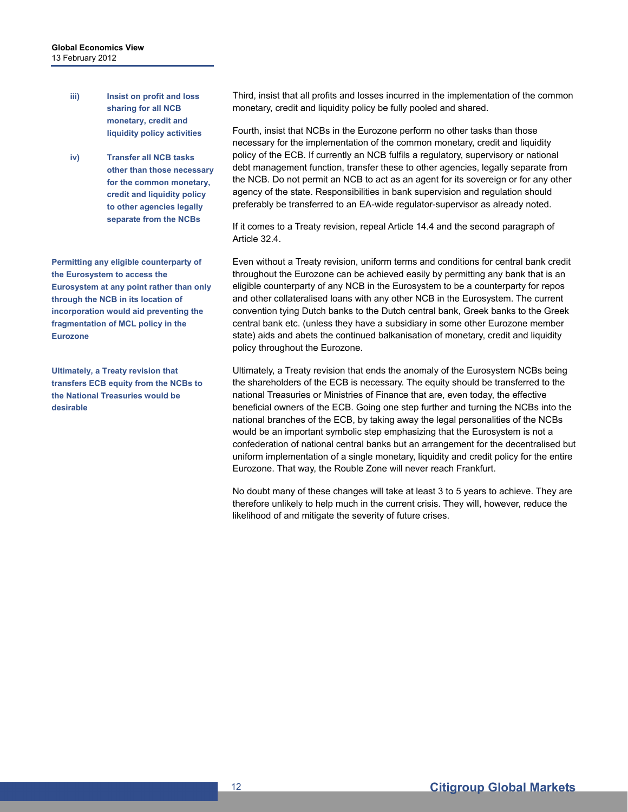- **iii) Insist on profit and loss sharing for all NCB monetary, credit and liquidity policy activities**
- **iv) Transfer all NCB tasks other than those necessary for the common monetary, credit and liquidity policy to other agencies legally separate from the NCBs**

**Permitting any eligible counterparty of the Eurosystem to access the Eurosystem at any point rather than only through the NCB in its location of incorporation would aid preventing the fragmentation of MCL policy in the Eurozone** 

**Ultimately, a Treaty revision that transfers ECB equity from the NCBs to the National Treasuries would be desirable** 

Third, insist that all profits and losses incurred in the implementation of the common monetary, credit and liquidity policy be fully pooled and shared.

Fourth, insist that NCBs in the Eurozone perform no other tasks than those necessary for the implementation of the common monetary, credit and liquidity policy of the ECB. If currently an NCB fulfils a regulatory, supervisory or national debt management function, transfer these to other agencies, legally separate from the NCB. Do not permit an NCB to act as an agent for its sovereign or for any other agency of the state. Responsibilities in bank supervision and regulation should preferably be transferred to an EA-wide regulator-supervisor as already noted.

If it comes to a Treaty revision, repeal Article 14.4 and the second paragraph of Article 32.4.

Even without a Treaty revision, uniform terms and conditions for central bank credit throughout the Eurozone can be achieved easily by permitting any bank that is an eligible counterparty of any NCB in the Eurosystem to be a counterparty for repos and other collateralised loans with any other NCB in the Eurosystem. The current convention tying Dutch banks to the Dutch central bank, Greek banks to the Greek central bank etc. (unless they have a subsidiary in some other Eurozone member state) aids and abets the continued balkanisation of monetary, credit and liquidity policy throughout the Eurozone.

Ultimately, a Treaty revision that ends the anomaly of the Eurosystem NCBs being the shareholders of the ECB is necessary. The equity should be transferred to the national Treasuries or Ministries of Finance that are, even today, the effective beneficial owners of the ECB. Going one step further and turning the NCBs into the national branches of the ECB, by taking away the legal personalities of the NCBs would be an important symbolic step emphasizing that the Eurosystem is not a confederation of national central banks but an arrangement for the decentralised but uniform implementation of a single monetary, liquidity and credit policy for the entire Eurozone. That way, the Rouble Zone will never reach Frankfurt.

No doubt many of these changes will take at least 3 to 5 years to achieve. They are therefore unlikely to help much in the current crisis. They will, however, reduce the likelihood of and mitigate the severity of future crises.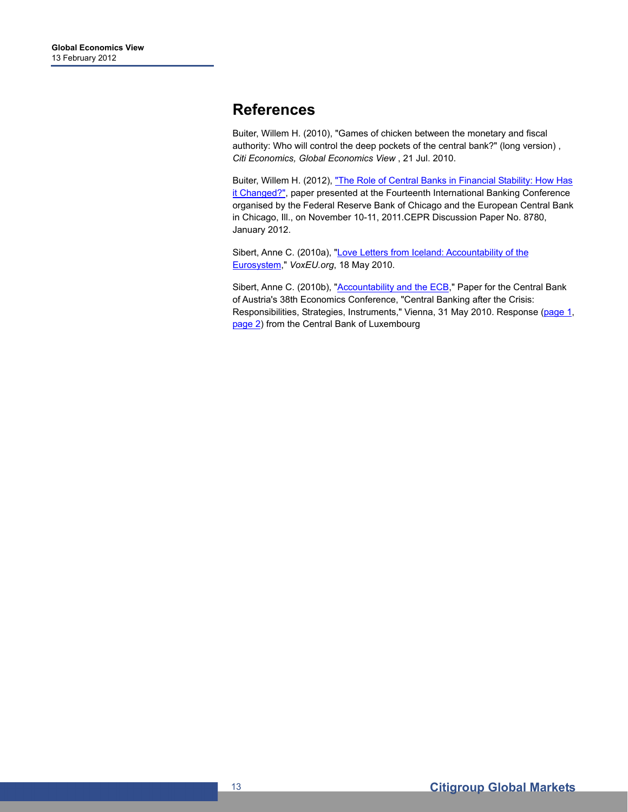### **References**

Buiter, Willem H. (2010), "Games of chicken between the monetary and fiscal authority: Who will control the deep pockets of the central bank?" (long version) , *Citi Economics, Global Economics View* , 21 Jul. 2010.

Buiter, Willem H. (2012), "The Role of Central Banks in Financial Stability: How Has [it Changed?"](http://willembuiter.com/chicago.pdf), paper presented at the Fourteenth International Banking Conference organised by the Federal Reserve Bank of Chicago and the European Central Bank in Chicago, Ill., on November 10-11, 2011.CEPR Discussion Paper No. 8780, January 2012.

Sibert, Anne C. (2010a), "Love Letters from Iceland: Accountability of the [Eurosystem](http://voxeu.org/index.php?q=node/5059)," *VoxEU.org*, 18 May 2010.

Sibert, Anne C. (2010b), ["Accountability and the ECB,](http://www.annesibert.co.uk/Accountability%20and%20Risk%20at%20the%20Eurosystem.doc)" Paper for the Central Bank of Austria's 38th Economics Conference, "Central Banking after the Crisis: Responsibilities, Strategies, Instruments," Vienna, 31 May 2010. Response [\(page 1,](http://www.annesibert.co.uk/CBL1.jpg) [page 2](http://www.annesibert.co.uk/CBL2.jpg)) from the Central Bank of Luxembourg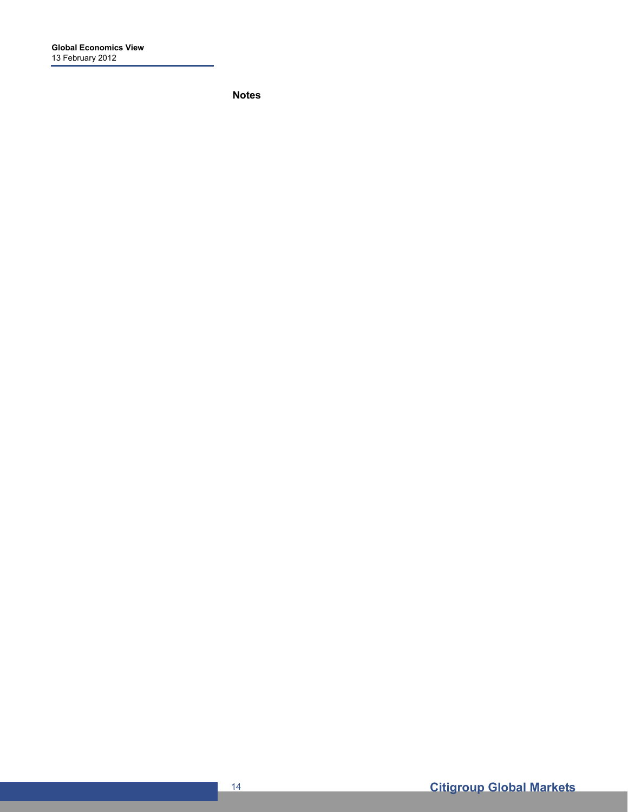**Notes**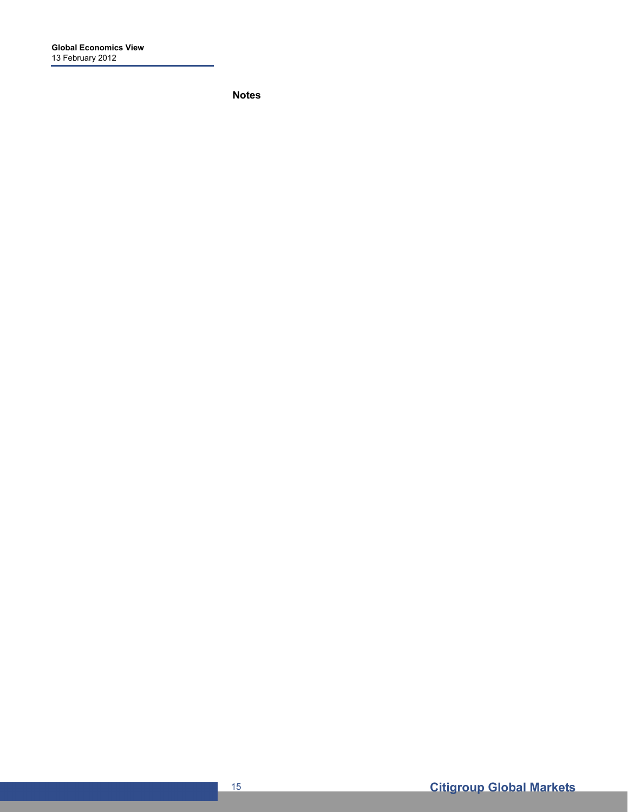**Notes**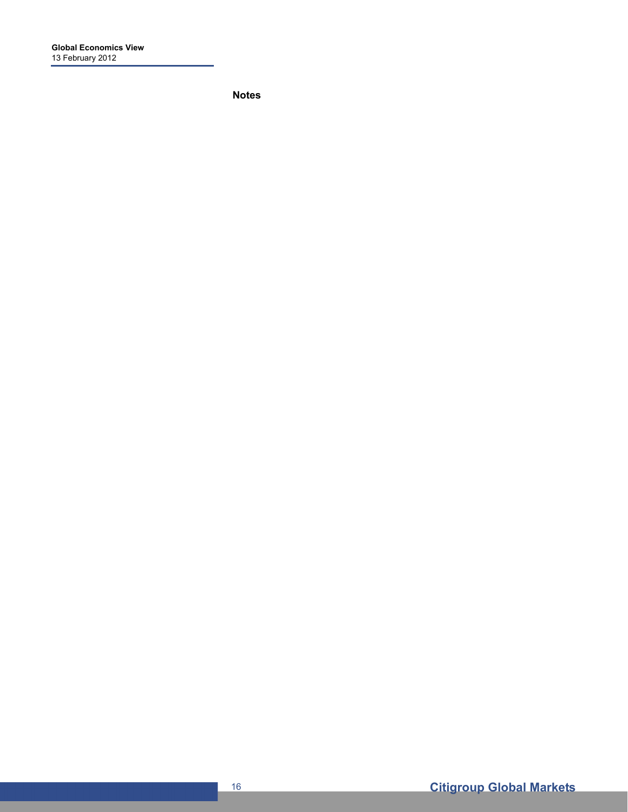**Notes**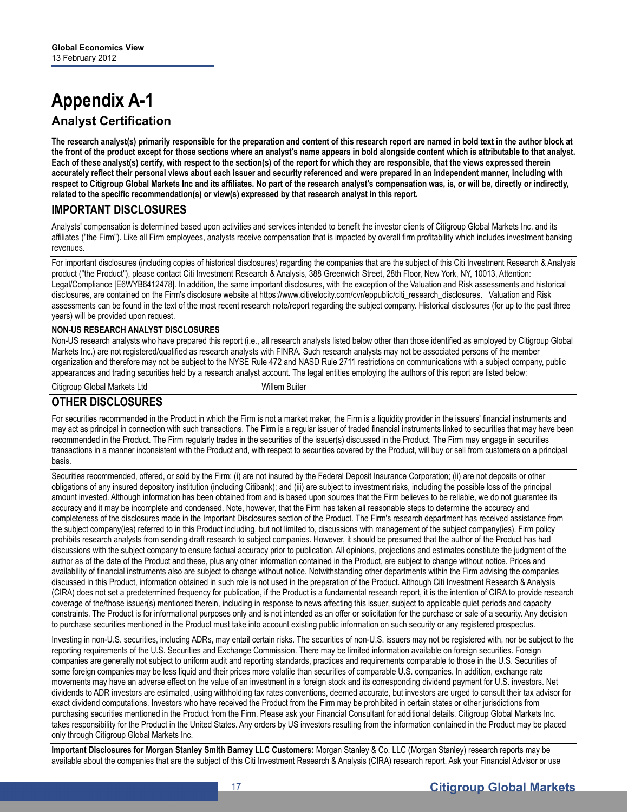# **Appendix A-1 Analyst Certification**

**The research analyst(s) primarily responsible for the preparation and content of this research report are named in bold text in the author block at the front of the product except for those sections where an analyst's name appears in bold alongside content which is attributable to that analyst. Each of these analyst(s) certify, with respect to the section(s) of the report for which they are responsible, that the views expressed therein accurately reflect their personal views about each issuer and security referenced and were prepared in an independent manner, including with respect to Citigroup Global Markets Inc and its affiliates. No part of the research analyst's compensation was, is, or will be, directly or indirectly, related to the specific recommendation(s) or view(s) expressed by that research analyst in this report.** 

### **IMPORTANT DISCLOSURES**

Analysts' compensation is determined based upon activities and services intended to benefit the investor clients of Citigroup Global Markets Inc. and its affiliates ("the Firm"). Like all Firm employees, analysts receive compensation that is impacted by overall firm profitability which includes investment banking revenues.

For important disclosures (including copies of historical disclosures) regarding the companies that are the subject of this Citi Investment Research & Analysis product ("the Product"), please contact Citi Investment Research & Analysis, 388 Greenwich Street, 28th Floor, New York, NY, 10013, Attention: Legal/Compliance [E6WYB6412478]. In addition, the same important disclosures, with the exception of the Valuation and Risk assessments and historical disclosures, are contained on the Firm's disclosure website at https://www.citivelocity.com/cvr/eppublic/citi\_research\_disclosures. Valuation and Risk assessments can be found in the text of the most recent research note/report regarding the subject company. Historical disclosures (for up to the past three years) will be provided upon request.

#### **NON-US RESEARCH ANALYST DISCLOSURES**

Non-US research analysts who have prepared this report (i.e., all research analysts listed below other than those identified as employed by Citigroup Global Markets Inc.) are not registered/qualified as research analysts with FINRA. Such research analysts may not be associated persons of the member organization and therefore may not be subject to the NYSE Rule 472 and NASD Rule 2711 restrictions on communications with a subject company, public appearances and trading securities held by a research analyst account. The legal entities employing the authors of this report are listed below:

Citigroup Global Markets Ltd Willem Buiter

#### **OTHER DISCLOSURES**

For securities recommended in the Product in which the Firm is not a market maker, the Firm is a liquidity provider in the issuers' financial instruments and may act as principal in connection with such transactions. The Firm is a regular issuer of traded financial instruments linked to securities that may have been recommended in the Product. The Firm regularly trades in the securities of the issuer(s) discussed in the Product. The Firm may engage in securities transactions in a manner inconsistent with the Product and, with respect to securities covered by the Product, will buy or sell from customers on a principal basis.

Securities recommended, offered, or sold by the Firm: (i) are not insured by the Federal Deposit Insurance Corporation; (ii) are not deposits or other obligations of any insured depository institution (including Citibank); and (iii) are subject to investment risks, including the possible loss of the principal amount invested. Although information has been obtained from and is based upon sources that the Firm believes to be reliable, we do not guarantee its accuracy and it may be incomplete and condensed. Note, however, that the Firm has taken all reasonable steps to determine the accuracy and completeness of the disclosures made in the Important Disclosures section of the Product. The Firm's research department has received assistance from the subject company(ies) referred to in this Product including, but not limited to, discussions with management of the subject company(ies). Firm policy prohibits research analysts from sending draft research to subject companies. However, it should be presumed that the author of the Product has had discussions with the subject company to ensure factual accuracy prior to publication. All opinions, projections and estimates constitute the judgment of the author as of the date of the Product and these, plus any other information contained in the Product, are subject to change without notice. Prices and availability of financial instruments also are subject to change without notice. Notwithstanding other departments within the Firm advising the companies discussed in this Product, information obtained in such role is not used in the preparation of the Product. Although Citi Investment Research & Analysis (CIRA) does not set a predetermined frequency for publication, if the Product is a fundamental research report, it is the intention of CIRA to provide research coverage of the/those issuer(s) mentioned therein, including in response to news affecting this issuer, subject to applicable quiet periods and capacity constraints. The Product is for informational purposes only and is not intended as an offer or solicitation for the purchase or sale of a security. Any decision to purchase securities mentioned in the Product must take into account existing public information on such security or any registered prospectus.

Investing in non-U.S. securities, including ADRs, may entail certain risks. The securities of non-U.S. issuers may not be registered with, nor be subject to the reporting requirements of the U.S. Securities and Exchange Commission. There may be limited information available on foreign securities. Foreign companies are generally not subject to uniform audit and reporting standards, practices and requirements comparable to those in the U.S. Securities of some foreign companies may be less liquid and their prices more volatile than securities of comparable U.S. companies. In addition, exchange rate movements may have an adverse effect on the value of an investment in a foreign stock and its corresponding dividend payment for U.S. investors. Net dividends to ADR investors are estimated, using withholding tax rates conventions, deemed accurate, but investors are urged to consult their tax advisor for exact dividend computations. Investors who have received the Product from the Firm may be prohibited in certain states or other jurisdictions from purchasing securities mentioned in the Product from the Firm. Please ask your Financial Consultant for additional details. Citigroup Global Markets Inc. takes responsibility for the Product in the United States. Any orders by US investors resulting from the information contained in the Product may be placed only through Citigroup Global Markets Inc.

**Important Disclosures for Morgan Stanley Smith Barney LLC Customers:** Morgan Stanley & Co. LLC (Morgan Stanley) research reports may be available about the companies that are the subject of this Citi Investment Research & Analysis (CIRA) research report. Ask your Financial Advisor or use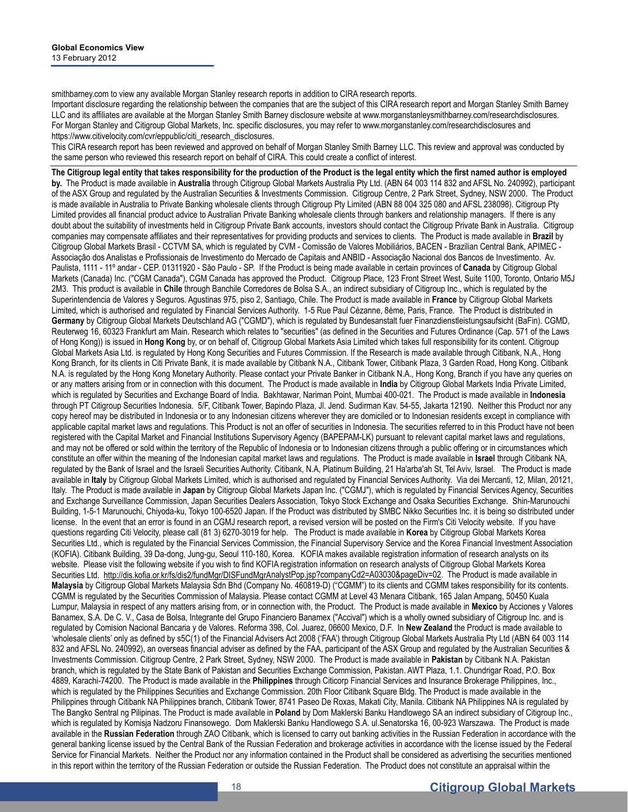smithbarney.com to view any available Morgan Stanley research reports in addition to CIRA research reports.

Important disclosure regarding the relationship between the companies that are the subject of this CIRA research report and Morgan Stanley Smith Barney LLC and its affiliates are available at the Morgan Stanley Smith Barney disclosure website at www.morganstanleysmithbarney.com/researchdisclosures. For Morgan Stanley and Citigroup Global Markets, Inc. specific disclosures, you may refer to www.morganstanley.com/researchdisclosures and https://www.citivelocity.com/cvr/eppublic/citi\_research\_disclosures.

This CIRA research report has been reviewed and approved on behalf of Morgan Stanley Smith Barney LLC. This review and approval was conducted by the same person who reviewed this research report on behalf of CIRA. This could create a conflict of interest.

**The Citigroup legal entity that takes responsibility for the production of the Product is the legal entity which the first named author is employed by.** The Product is made available in **Australia** through Citigroup Global Markets Australia Pty Ltd. (ABN 64 003 114 832 and AFSL No. 240992), participant of the ASX Group and regulated by the Australian Securities & Investments Commission. Citigroup Centre, 2 Park Street, Sydney, NSW 2000. The Product is made available in Australia to Private Banking wholesale clients through Citigroup Pty Limited (ABN 88 004 325 080 and AFSL 238098). Citigroup Pty Limited provides all financial product advice to Australian Private Banking wholesale clients through bankers and relationship managers. If there is any doubt about the suitability of investments held in Citigroup Private Bank accounts, investors should contact the Citigroup Private Bank in Australia. Citigroup companies may compensate affiliates and their representatives for providing products and services to clients. The Product is made available in **Brazil** by Citigroup Global Markets Brasil - CCTVM SA, which is regulated by CVM - Comissão de Valores Mobiliários, BACEN - Brazilian Central Bank, APIMEC - Associação dos Analistas e Profissionais de Investimento do Mercado de Capitais and ANBID - Associação Nacional dos Bancos de Investimento. Av. Paulista, 1111 - 11º andar - CEP. 01311920 - São Paulo - SP. If the Product is being made available in certain provinces of **Canada** by Citigroup Global Markets (Canada) Inc. ("CGM Canada"), CGM Canada has approved the Product. Citigroup Place, 123 Front Street West, Suite 1100, Toronto, Ontario M5J 2M3. This product is available in **Chile** through Banchile Corredores de Bolsa S.A., an indirect subsidiary of Citigroup Inc., which is regulated by the Superintendencia de Valores y Seguros. Agustinas 975, piso 2, Santiago, Chile. The Product is made available in **France** by Citigroup Global Markets Limited, which is authorised and regulated by Financial Services Authority. 1-5 Rue Paul Cézanne, 8ème, Paris, France. The Product is distributed in **Germany** by Citigroup Global Markets Deutschland AG ("CGMD"), which is regulated by Bundesanstalt fuer Finanzdienstleistungsaufsicht (BaFin). CGMD, Reuterweg 16, 60323 Frankfurt am Main. Research which relates to "securities" (as defined in the Securities and Futures Ordinance (Cap. 571 of the Laws of Hong Kong)) is issued in **Hong Kong** by, or on behalf of, Citigroup Global Markets Asia Limited which takes full responsibility for its content. Citigroup Global Markets Asia Ltd. is regulated by Hong Kong Securities and Futures Commission. If the Research is made available through Citibank, N.A., Hong Kong Branch, for its clients in Citi Private Bank, it is made available by Citibank N.A., Citibank Tower, Citibank Plaza, 3 Garden Road, Hong Kong. Citibank N.A. is regulated by the Hong Kong Monetary Authority. Please contact your Private Banker in Citibank N.A., Hong Kong, Branch if you have any queries on or any matters arising from or in connection with this document. The Product is made available in **India** by Citigroup Global Markets India Private Limited, which is regulated by Securities and Exchange Board of India. Bakhtawar, Nariman Point, Mumbai 400-021. The Product is made available in **Indonesia** through PT Citigroup Securities Indonesia. 5/F, Citibank Tower, Bapindo Plaza, Jl. Jend. Sudirman Kav. 54-55, Jakarta 12190. Neither this Product nor any copy hereof may be distributed in Indonesia or to any Indonesian citizens wherever they are domiciled or to Indonesian residents except in compliance with applicable capital market laws and regulations. This Product is not an offer of securities in Indonesia. The securities referred to in this Product have not been registered with the Capital Market and Financial Institutions Supervisory Agency (BAPEPAM-LK) pursuant to relevant capital market laws and regulations, and may not be offered or sold within the territory of the Republic of Indonesia or to Indonesian citizens through a public offering or in circumstances which constitute an offer within the meaning of the Indonesian capital market laws and regulations. The Product is made available in **Israel** through Citibank NA, regulated by the Bank of Israel and the Israeli Securities Authority. Citibank, N.A, Platinum Building, 21 Ha'arba'ah St, Tel Aviv, Israel. The Product is made available in **Italy** by Citigroup Global Markets Limited, which is authorised and regulated by Financial Services Authority. Via dei Mercanti, 12, Milan, 20121, Italy. The Product is made available in **Japan** by Citigroup Global Markets Japan Inc. ("CGMJ"), which is regulated by Financial Services Agency, Securities and Exchange Surveillance Commission, Japan Securities Dealers Association, Tokyo Stock Exchange and Osaka Securities Exchange. Shin-Marunouchi Building, 1-5-1 Marunouchi, Chiyoda-ku, Tokyo 100-6520 Japan. If the Product was distributed by SMBC Nikko Securities Inc. it is being so distributed under license. In the event that an error is found in an CGMJ research report, a revised version will be posted on the Firm's Citi Velocity website. If you have questions regarding Citi Velocity, please call (81 3) 6270-3019 for help. The Product is made available in **Korea** by Citigroup Global Markets Korea Securities Ltd., which is regulated by the Financial Services Commission, the Financial Supervisory Service and the Korea Financial Investment Association (KOFIA). Citibank Building, 39 Da-dong, Jung-gu, Seoul 110-180, Korea. KOFIA makes available registration information of research analysts on its website. Please visit the following website if you wish to find KOFIA registration information on research analysts of Citigroup Global Markets Korea Securities Ltd. http://dis.kofia.or.kr/fs/dis2/fundMgr/DISFundMgrAnalystPop.jsp?companyCd2=A03030&pageDiv=02. The Product is made available in **Malaysia** by Citigroup Global Markets Malaysia Sdn Bhd (Company No. 460819-D) ("CGMM") to its clients and CGMM takes responsibility for its contents. CGMM is regulated by the Securities Commission of Malaysia. Please contact CGMM at Level 43 Menara Citibank, 165 Jalan Ampang, 50450 Kuala Lumpur, Malaysia in respect of any matters arising from, or in connection with, the Product. The Product is made available in **Mexico** by Acciones y Valores Banamex, S.A. De C. V., Casa de Bolsa, Integrante del Grupo Financiero Banamex ("Accival") which is a wholly owned subsidiary of Citigroup Inc. and is regulated by Comision Nacional Bancaria y de Valores. Reforma 398, Col. Juarez, 06600 Mexico, D.F. In **New Zealand** the Product is made available to 'wholesale clients' only as defined by s5C(1) of the Financial Advisers Act 2008 ('FAA') through Citigroup Global Markets Australia Pty Ltd (ABN 64 003 114 832 and AFSL No. 240992), an overseas financial adviser as defined by the FAA, participant of the ASX Group and regulated by the Australian Securities & Investments Commission. Citigroup Centre, 2 Park Street, Sydney, NSW 2000. The Product is made available in **Pakistan** by Citibank N.A. Pakistan branch, which is regulated by the State Bank of Pakistan and Securities Exchange Commission, Pakistan. AWT Plaza, 1.1. Chundrigar Road, P.O. Box 4889, Karachi-74200. The Product is made available in the **Philippines** through Citicorp Financial Services and Insurance Brokerage Philippines, Inc., which is regulated by the Philippines Securities and Exchange Commission. 20th Floor Citibank Square Bldg. The Product is made available in the Philippines through Citibank NA Philippines branch, Citibank Tower, 8741 Paseo De Roxas, Makati City, Manila. Citibank NA Philippines NA is regulated by The Bangko Sentral ng Pilipinas. The Product is made available in **Poland** by Dom Maklerski Banku Handlowego SA an indirect subsidiary of Citigroup Inc., which is regulated by Komisja Nadzoru Finansowego. Dom Maklerski Banku Handlowego S.A. ul.Senatorska 16, 00-923 Warszawa. The Product is made available in the **Russian Federation** through ZAO Citibank, which is licensed to carry out banking activities in the Russian Federation in accordance with the general banking license issued by the Central Bank of the Russian Federation and brokerage activities in accordance with the license issued by the Federal Service for Financial Markets. Neither the Product nor any information contained in the Product shall be considered as advertising the securities mentioned in this report within the territory of the Russian Federation or outside the Russian Federation. The Product does not constitute an appraisal within the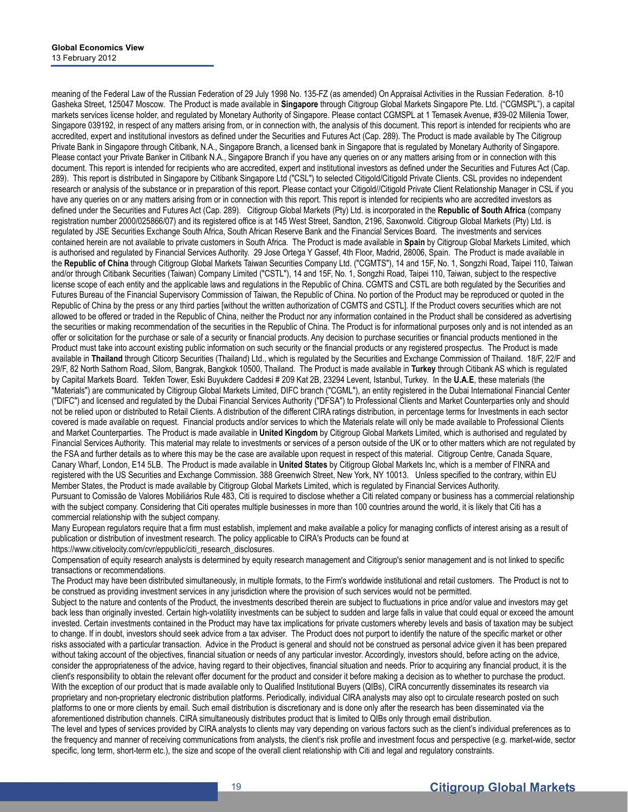meaning of the Federal Law of the Russian Federation of 29 July 1998 No. 135-FZ (as amended) On Appraisal Activities in the Russian Federation. 8-10 Gasheka Street, 125047 Moscow. The Product is made available in **Singapore** through Citigroup Global Markets Singapore Pte. Ltd. ("CGMSPL"), a capital markets services license holder, and regulated by Monetary Authority of Singapore. Please contact CGMSPL at 1 Temasek Avenue, #39-02 Millenia Tower, Singapore 039192, in respect of any matters arising from, or in connection with, the analysis of this document. This report is intended for recipients who are accredited, expert and institutional investors as defined under the Securities and Futures Act (Cap. 289). The Product is made available by The Citigroup Private Bank in Singapore through Citibank, N.A., Singapore Branch, a licensed bank in Singapore that is regulated by Monetary Authority of Singapore. Please contact your Private Banker in Citibank N.A., Singapore Branch if you have any queries on or any matters arising from or in connection with this document. This report is intended for recipients who are accredited, expert and institutional investors as defined under the Securities and Futures Act (Cap. 289). This report is distributed in Singapore by Citibank Singapore Ltd ("CSL") to selected Citigold/Citigold Private Clients. CSL provides no independent research or analysis of the substance or in preparation of this report. Please contact your Citigold//Citigold Private Client Relationship Manager in CSL if you have any queries on or any matters arising from or in connection with this report. This report is intended for recipients who are accredited investors as defined under the Securities and Futures Act (Cap. 289). Citigroup Global Markets (Pty) Ltd. is incorporated in the **Republic of South Africa** (company registration number 2000/025866/07) and its registered office is at 145 West Street, Sandton, 2196, Saxonwold. Citigroup Global Markets (Pty) Ltd. is regulated by JSE Securities Exchange South Africa, South African Reserve Bank and the Financial Services Board. The investments and services contained herein are not available to private customers in South Africa. The Product is made available in **Spain** by Citigroup Global Markets Limited, which is authorised and regulated by Financial Services Authority. 29 Jose Ortega Y Gassef, 4th Floor, Madrid, 28006, Spain. The Product is made available in the **Republic of China** through Citigroup Global Markets Taiwan Securities Company Ltd. ("CGMTS"), 14 and 15F, No. 1, Songzhi Road, Taipei 110, Taiwan and/or through Citibank Securities (Taiwan) Company Limited ("CSTL"), 14 and 15F, No. 1, Songzhi Road, Taipei 110, Taiwan, subject to the respective license scope of each entity and the applicable laws and regulations in the Republic of China. CGMTS and CSTL are both regulated by the Securities and Futures Bureau of the Financial Supervisory Commission of Taiwan, the Republic of China. No portion of the Product may be reproduced or quoted in the Republic of China by the press or any third parties [without the written authorization of CGMTS and CSTL]. If the Product covers securities which are not allowed to be offered or traded in the Republic of China, neither the Product nor any information contained in the Product shall be considered as advertising the securities or making recommendation of the securities in the Republic of China. The Product is for informational purposes only and is not intended as an offer or solicitation for the purchase or sale of a security or financial products. Any decision to purchase securities or financial products mentioned in the Product must take into account existing public information on such security or the financial products or any registered prospectus. The Product is made available in **Thailand** through Citicorp Securities (Thailand) Ltd., which is regulated by the Securities and Exchange Commission of Thailand. 18/F, 22/F and 29/F, 82 North Sathorn Road, Silom, Bangrak, Bangkok 10500, Thailand. The Product is made available in **Turkey** through Citibank AS which is regulated by Capital Markets Board. Tekfen Tower, Eski Buyukdere Caddesi # 209 Kat 2B, 23294 Levent, Istanbul, Turkey. In the **U.A.E**, these materials (the "Materials") are communicated by Citigroup Global Markets Limited, DIFC branch ("CGML"), an entity registered in the Dubai International Financial Center ("DIFC") and licensed and regulated by the Dubai Financial Services Authority ("DFSA") to Professional Clients and Market Counterparties only and should not be relied upon or distributed to Retail Clients. A distribution of the different CIRA ratings distribution, in percentage terms for Investments in each sector covered is made available on request. Financial products and/or services to which the Materials relate will only be made available to Professional Clients and Market Counterparties. The Product is made available in **United Kingdom** by Citigroup Global Markets Limited, which is authorised and regulated by Financial Services Authority. This material may relate to investments or services of a person outside of the UK or to other matters which are not regulated by the FSA and further details as to where this may be the case are available upon request in respect of this material. Citigroup Centre, Canada Square, Canary Wharf, London, E14 5LB. The Product is made available in **United States** by Citigroup Global Markets Inc, which is a member of FINRA and registered with the US Securities and Exchange Commission. 388 Greenwich Street, New York, NY 10013. Unless specified to the contrary, within EU Member States, the Product is made available by Citigroup Global Markets Limited, which is regulated by Financial Services Authority. Pursuant to Comissão de Valores Mobiliários Rule 483, Citi is required to disclose whether a Citi related company or business has a commercial relationship with the subject company. Considering that Citi operates multiple businesses in more than 100 countries around the world, it is likely that Citi has a commercial relationship with the subject company.

Many European regulators require that a firm must establish, implement and make available a policy for managing conflicts of interest arising as a result of publication or distribution of investment research. The policy applicable to CIRA's Products can be found at https://www.citivelocity.com/cvr/eppublic/citi\_research\_disclosures.

Compensation of equity research analysts is determined by equity research management and Citigroup's senior management and is not linked to specific transactions or recommendations.

The Product may have been distributed simultaneously, in multiple formats, to the Firm's worldwide institutional and retail customers. The Product is not to be construed as providing investment services in any jurisdiction where the provision of such services would not be permitted.

Subject to the nature and contents of the Product, the investments described therein are subject to fluctuations in price and/or value and investors may get back less than originally invested. Certain high-volatility investments can be subject to sudden and large falls in value that could equal or exceed the amount invested. Certain investments contained in the Product may have tax implications for private customers whereby levels and basis of taxation may be subject to change. If in doubt, investors should seek advice from a tax adviser. The Product does not purport to identify the nature of the specific market or other risks associated with a particular transaction. Advice in the Product is general and should not be construed as personal advice given it has been prepared without taking account of the objectives, financial situation or needs of any particular investor. Accordingly, investors should, before acting on the advice, consider the appropriateness of the advice, having regard to their objectives, financial situation and needs. Prior to acquiring any financial product, it is the client's responsibility to obtain the relevant offer document for the product and consider it before making a decision as to whether to purchase the product. With the exception of our product that is made available only to Qualified Institutional Buyers (QIBs), CIRA concurrently disseminates its research via proprietary and non-proprietary electronic distribution platforms. Periodically, individual CIRA analysts may also opt to circulate research posted on such platforms to one or more clients by email. Such email distribution is discretionary and is done only after the research has been disseminated via the aforementioned distribution channels. CIRA simultaneously distributes product that is limited to QIBs only through email distribution.

The level and types of services provided by CIRA analysts to clients may vary depending on various factors such as the client's individual preferences as to the frequency and manner of receiving communications from analysts, the client's risk profile and investment focus and perspective (e.g. market-wide, sector specific, long term, short-term etc.), the size and scope of the overall client relationship with Citi and legal and regulatory constraints.